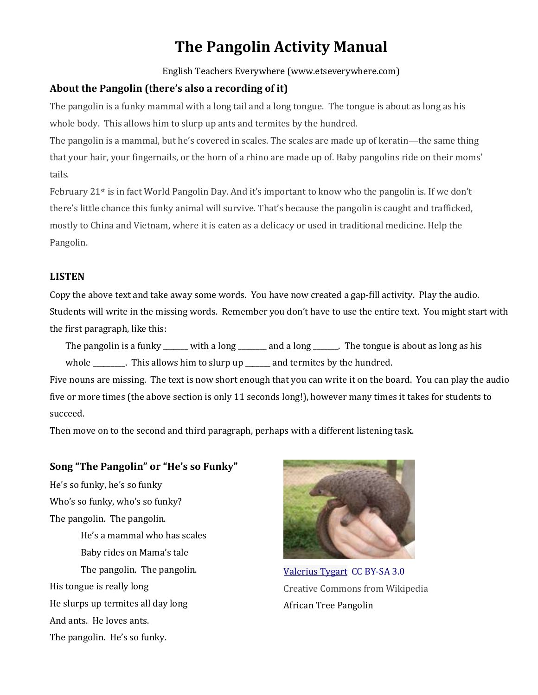# **The Pangolin Activity Manual**

English Teachers Everywhere (www.etseverywhere.com)

#### **About the Pangolin (there's also a recording of it)**

The pangolin is a funky mammal with a long tail and a long tongue. The tongue is about as long as his whole body. This allows him to slurp up ants and termites by the hundred.

The pangolin is a mammal, but he's covered in scales. The scales are made up of keratin—the same thing that your hair, your fingernails, or the horn of a rhino are made up of. Baby pangolins ride on their moms' tails.

February 21st is in fact World Pangolin Day. And it's important to know who the pangolin is. If we don't there's little chance this funky animal will survive. That's because the pangolin is caught and trafficked, mostly to China and Vietnam, where it is eaten as a delicacy or used in traditional medicine. Help the Pangolin.

#### **LISTEN**

Copy the above text and take away some words. You have now created a gap-fill activity. Play the audio. Students will write in the missing words. Remember you don't have to use the entire text. You might start with the first paragraph, like this:

The pangolin is a funky \_\_\_\_\_\_ with a long \_\_\_\_\_\_ and a long \_\_\_\_\_. The tongue is about as long as his whole \_\_\_\_\_\_\_\_. This allows him to slurp up \_\_\_\_\_\_\_ and termites by the hundred.

Five nouns are missing. The text is now short enough that you can write it on the board. You can play the audio five or more times (the above section is only 11 seconds long!), however many times it takes for students to succeed.

Then move on to the second and third paragraph, perhaps with a different listening task.

## **Song "The Pangolin" or "He's so Funky"**

He's so funky, he's so funky Who's so funky, who's so funky? The pangolin. The pangolin. He's a mammal who has scales Baby rides on Mama's tale The pangolin. The pangolin. His tongue is really long He slurps up termites all day long And ants. He loves ants. The pangolin. He's so funky.



[Valerius Tygart](http://commons.wikimedia.org/wiki/User:Valerius_Tygart) [CC BY-SA 3.0](http://creativecommons.org/licenses/by-sa/3.0) Creative Commons from Wikipedia African Tree Pangolin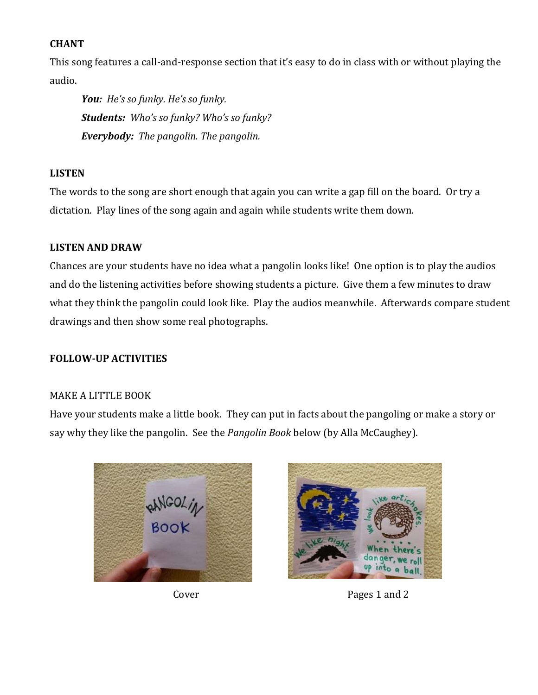## **CHANT**

This song features a call-and-response section that it's easy to do in class with or without playing the audio.

*You: He's so funky. He's so funky. Students: Who's so funky? Who's so funky? Everybody: The pangolin. The pangolin.* 

## **LISTEN**

The words to the song are short enough that again you can write a gap fill on the board. Or try a dictation. Play lines of the song again and again while students write them down.

## **LISTEN AND DRAW**

Chances are your students have no idea what a pangolin looks like! One option is to play the audios and do the listening activities before showing students a picture. Give them a few minutes to draw what they think the pangolin could look like. Play the audios meanwhile. Afterwards compare student drawings and then show some real photographs.

## **FOLLOW-UP ACTIVITIES**

## MAKE A LITTLE BOOK

Have your students make a little book. They can put in facts about the pangoling or make a story or say why they like the pangolin. See the *Pangolin Book* below (by Alla McCaughey).





Cover Pages 1 and 2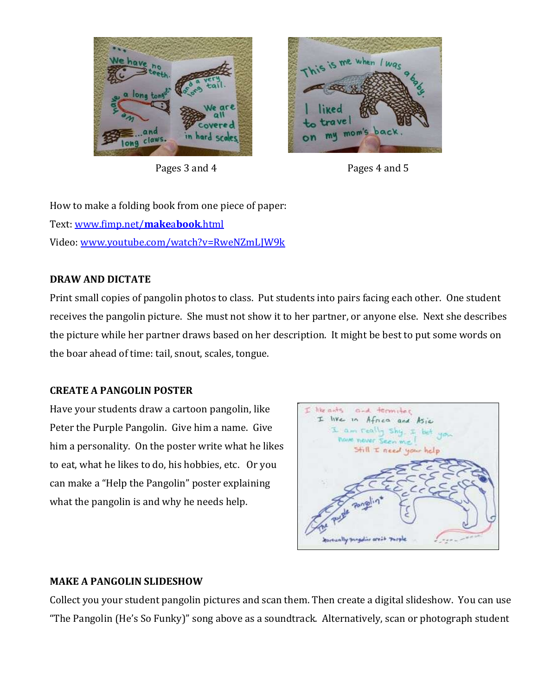



Pages 3 and 4 Pages 4 and 5

How to make a folding book from one piece of paper: Text: [www.fimp.net/](http://www.fimp.net/makeabook.html)**make**a**book**.html Video: [www.youtube.com/watch?v=RweNZmLJW9k](http://www.youtube.com/watch?v=RweNZmLJW9k)

## **DRAW AND DICTATE**

Print small copies of pangolin photos to class. Put students into pairs facing each other. One student receives the pangolin picture. She must not show it to her partner, or anyone else. Next she describes the picture while her partner draws based on her description. It might be best to put some words on the boar ahead of time: tail, snout, scales, tongue.

## **CREATE A PANGOLIN POSTER**

Have your students draw a cartoon pangolin, like Peter the Purple Pangolin. Give him a name. Give him a personality. On the poster write what he likes to eat, what he likes to do, his hobbies, etc. Or you can make a "Help the Pangolin" poster explaining what the pangolin is and why he needs help.



# **MAKE A PANGOLIN SLIDESHOW**

Collect you your student pangolin pictures and scan them. Then create a digital slideshow. You can use "The Pangolin (He's So Funky)" song above as a soundtrack. Alternatively, scan or photograph student